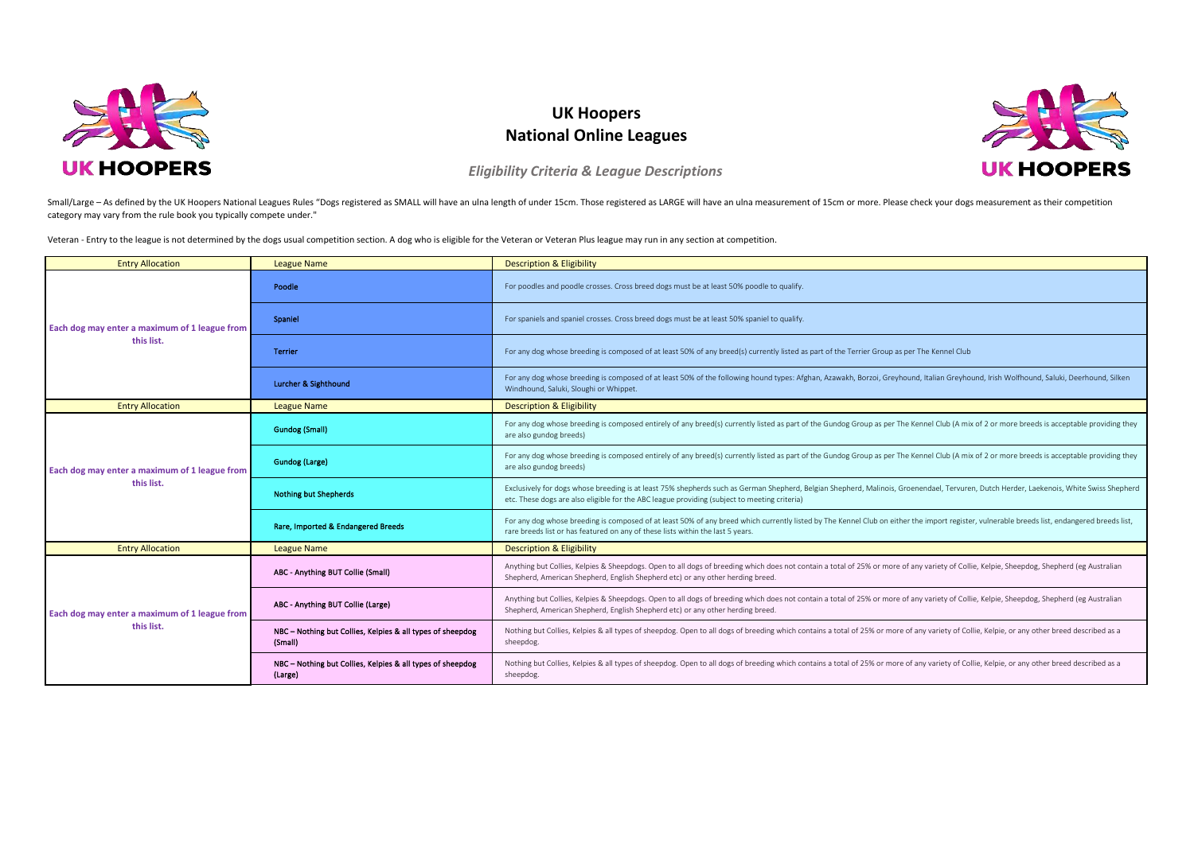

## **UK Hoopers National Online Leagues**



*Eligibility Criteria & League Descriptions*

Small/Large - As defined by the UK Hoopers National Leagues Rules "Dogs registered as SMALL will have an ulna length of under 15cm. Those registered as LARGE will have an ulna measurement of 15cm or more. Please check your category may vary from the rule book you typically compete under."

Veteran - Entry to the league is not determined by the dogs usual competition section. A dog who is eligible for the Veteran or Veteran Plus league may run in any section at competition.

| <b>Entry Allocation</b>                                     | <b>League Name</b>                                                    | <b>Description &amp; Eligibility</b>                                                                                                                                                                                                                                                    |
|-------------------------------------------------------------|-----------------------------------------------------------------------|-----------------------------------------------------------------------------------------------------------------------------------------------------------------------------------------------------------------------------------------------------------------------------------------|
| Each dog may enter a maximum of 1 league from<br>this list. | Poodle                                                                | For poodles and poodle crosses. Cross breed dogs must be at least 50% poodle to qualify.                                                                                                                                                                                                |
|                                                             | Spaniel                                                               | For spaniels and spaniel crosses. Cross breed dogs must be at least 50% spaniel to qualify.                                                                                                                                                                                             |
|                                                             | <b>Terrier</b>                                                        | For any dog whose breeding is composed of at least 50% of any breed(s) currently listed as part of the Terrier Group as per The Kennel Club                                                                                                                                             |
|                                                             | Lurcher & Sighthound                                                  | For any dog whose breeding is composed of at least 50% of the following hound types: Afghan, Azawakh, Borzoi, Greyhound, Italian Greyhound, Itsh Wolfhound, Saluki, Deerhound, Silken<br>Windhound, Saluki, Sloughi or Whippet.                                                         |
| <b>Entry Allocation</b>                                     | <b>League Name</b>                                                    | <b>Description &amp; Eligibility</b>                                                                                                                                                                                                                                                    |
| Each dog may enter a maximum of 1 league from<br>this list. | <b>Gundog (Small)</b>                                                 | For any dog whose breeding is composed entirely of any breed(s) currently listed as part of the Gundog Group as per The Kennel Club (A mix of 2 or more breeds is acceptable providing they<br>are also gundog breeds)                                                                  |
|                                                             | Gundog (Large)                                                        | For any dog whose breeding is composed entirely of any breed(s) currently listed as part of the Gundog Group as per The Kennel Club (A mix of 2 or more breeds is acceptable providing they<br>are also gundog breeds)                                                                  |
|                                                             | <b>Nothing but Shepherds</b>                                          | Exclusively for dogs whose breeding is at least 75% shepherds such as German Shepherd, Belgian Shepherd, Malinois, Groenendael, Tervuren, Dutch Herder, Laekenois, White Swiss Shepherd<br>etc. These dogs are also eligible for the ABC league providing (subject to meeting criteria) |
|                                                             | Rare, Imported & Endangered Breeds                                    | For any dog whose breeding is composed of at least 50% of any breed which currently listed by The Kennel Club on either the import register, vulnerable breeds list, endangered breeds list,<br>rare breeds list or has featured on any of these lists within the last 5 years.         |
| <b>Entry Allocation</b>                                     | <b>League Name</b>                                                    | <b>Description &amp; Eligibility</b>                                                                                                                                                                                                                                                    |
| Each dog may enter a maximum of 1 league from<br>this list. | ABC - Anything BUT Collie (Small)                                     | Anything but Collies, Kelpies & Sheepdogs. Open to all dogs of breeding which does not contain a total of 25% or more of any variety of Collie, Kelpie, Sheepdog, Shepherd (eg Australian<br>Shepherd, American Shepherd, English Shepherd etc) or any other herding breed.             |
|                                                             | ABC - Anything BUT Collie (Large)                                     | Anything but Collies, Kelpies & Sheepdogs. Open to all dogs of breeding which does not contain a total of 25% or more of any variety of Collie, Kelpie, Sheepdog, Shepherd (eg Australian<br>Shepherd, American Shepherd, English Shepherd etc) or any other herding breed.             |
|                                                             | NBC - Nothing but Collies, Kelpies & all types of sheepdog<br>(Small) | Nothing but Collies, Kelpies & all types of sheepdog. Open to all dogs of breeding which contains a total of 25% or more of any variety of Collie, Kelpie, or any other breed described as a<br>sheepdog.                                                                               |
|                                                             | NBC - Nothing but Collies, Kelpies & all types of sheepdog<br>(Large) | Nothing but Collies, Kelpies & all types of sheepdog. Open to all dogs of breeding which contains a total of 25% or more of any variety of Collie, Kelpie, or any other breed described as a<br>sheepdog.                                                                               |